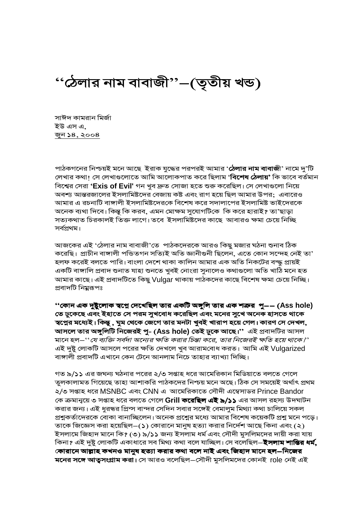"ঠেলার নাম বাবাজী"–(তৃতীয় খন্ড)

সাঈদ কামরান মির্জা ইউ এস এ, <u>জুন ১৪, ২০০৪</u>

পাঠকগনের নিশ্চয়ই মনে আছে ইরাক যুদ্ধের পরপরই আমার '**ঠেলার নাম বাবাজী**' নামে দু'টি লেখার কথা। সে লেখাগুলোতে আমি আলোকপাত করে ছিলাম '**বিশেষ ঠেলায়'** কি ভাবে বর্তমান বিশ্বের সেরা 'Exis of Evil' গন খুব দ্রুত সোজা হতে শুরু করেছিল। সে লেখাগুলো নিয়ে অবশ্য আন্তরজালের ইসলামিষ্টদের বেজায় কষ্ট এবং রাগ হয়ে ছিল আমার উপর; এবারেও আমার এ রচনাটি বাঙ্গালী ইসলামিষ্টদেরকে বিশেষ করে সদালাপের ইসলামিষ্ট ভাইদেরকে অনেক ব্যথা দিবে। কিন্তু কি করব, এমন মোক্ষম সুযোগটিকে কি করে হারাই? তা'ছাড়া সত্যকথাত চিরকালই তিক্ত লাগে। তবে ইসলামিষ্টদের কাছে আবারও ক্ষমা চেয়ে নিচ্ছি সর্বপ্রথম।

আজকের এই 'ঠেলার নাম বাবাজী'তে পাঠকদেরকে আরও কিছু মজার ঘঠনা শুনাব ঠিক করেছি। প্রাচীন বাঙ্গালী পভিতগন সত্যিই অতি জ্ঞানীগুনী ছিলেন, এতে কোন সন্দেহ নেই তা' হলফ করেই বলতে পারি। বাংলা দেশে থাকা কালিন আমার এক অতি নিকটের বন্দ্ধ প্রায়ই একটি বাঙ্গালি প্ৰবাদ শুনাত যাহা শুনতে খুবই নোংরা সুনালেও কথাগুলো অতি খাঠি মনে হত আমার কাছে। এই প্রবাদটিতে কিছু Vulgar থাকায় পাঠকদের কাছে বিশেষ ক্ষমা চেয়ে নিচ্ছি। প্ৰবাদটি নিম্নুরূপঃ

''কোন এক দুষ্টুলোক স্বপ্নে দেখেছিল তার একটি অঙ্গুলি তার এক শত্রুর পু—— (Ass hole) তে ঢুকেছে এবং ইহাতে সে পরম সুখবোধ করেছিল এবং মনের সুখে অনেক হাসতে থাকে স্বপ্নের মধ্যেই। কিন্তু , ঘুম থেকে জেগে তার মনটা খুবই খারাপ হয়ে গেল। কারণ সে দেখল, **আসলে তার অঙ্গুলিটি নিজেরই পু- (Ass hole) তেই ঢুকে আছে।''** এই প্রবাদটির আসল মানে হল–''যে ব্যক্তি সর্বদা অন্যের ক্ষতি করার চিন্তা করে, তার নিজেরই ক্ষতি হয়ে থাকে।'' এই দুষ্টু লোকটি আসলে পরের ক্ষতি দেখলে খুব আরামবোধ করত। আমি এই Vulgarized বাঙ্গালী প্রবাদটি এখানে কেন টেনে আনলাম নিচে তাহার ব্যাখ্যা দিচ্ছি।

গত ৯/১১ এর জঘন্য ঘঠনার পরের ২/৩ সপ্তাহ ধরে আমেরিকান মিডিয়াতে বলতে গেলে তুলকালামত গিয়েছে তাহা আশাকরি পাঠকদের নিশ্চয় মনে অছে। ঠিক সে সময়েই অর্থাৎ প্রথম ২/৩ সপ্তাহ ধরে MSNBC এবং CNN এ আমেরিকাতে সৌদী এম্বেসাডর Prince Bandor কে ক্রমান্বয়ে ৩ সপ্তাহ ধরে বলতে গেলে Grill করেছিল এই ৯/১১ এর আসল রহস্য উদঘাটন করার জন্য। এই ধুরন্ধর প্রিন্স বান্দর সেদিন সবার সঙ্গেই বেমালুম মিথ্যা কথা চালিয়ে সকল প্রশ্নকর্তাদেরকে বোকা বানাচ্ছিলেন। অনেক প্রশ্নের মধ্যে আমার বিশেষ কয়েকটি প্রশ্ন মনে পড়ে। তাকে জিজ্ঞেস করা হয়েছিল $-(\mathsf{s})$  কোরানে মানুষ হত্যা করার নির্দেশ আছে কিনা এবং (২) ইসলামে জিহাদ মানে কি? (৩) ৯/১১ জন্য ইসলাম ধর্ম এবং সৌদী মুসলিমদের দায়ী করা যায় কিনা? এই দুষ্টু লোকটি একাধারে সব মিথ্য কথা বলে যাচ্ছিল। সে বলেছিল—**ইসলাম শান্তির ধর্ম,** কোরানে আল্লাহ কখনও মানুষ হত্যা করার কথা বলে নাই এবং জিহাদ মানে হল–নিজের **মনের সঙ্গে আত্বসংগ্রাম করা।** সে আরও বলেছিল–সৌদী মুসলিমদের কোনই role নেই এই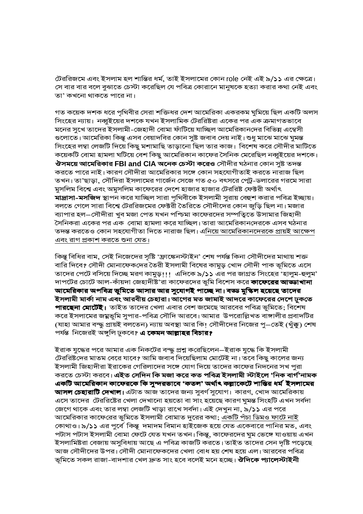টেররিজমে এবং ইসলাম হল শান্তির ধর্ম, তাই ইসলামের কোন role নেই এই ৯/১১ এর ক্ষেত্রে। সে বার বার বলে বুঝাতে চেস্টা করেছিল যে পবিত্র কোরানে মানুষকে হত্যা করার কথা নেই এবং তা' কখনো থাকতে পারে না।

গত কয়েক দশক ধরে পৃথিবীর সেরা শক্তিধর দেশ আমেরিকা একরকম ঘুমিয়ে ছিল একটি অলস সিংহের ন্যায়। নব্বুইয়ের দশকে যখন ইসলামিক টেররিষ্টরা একের পর এক ক্রমাগতভাবে মনের সুখে তাদের ইসলামী-জেহাদী বোমা ফাঁটিয়ে যাচ্ছিল আমেরিকানদের বিভিন্ন এম্বেসী গুলোতে। আমেরিকা কিন্তু এসব বেয়াদবির কোন সুষ্ট জবাব দেয় নাই। শুধু মাঝে মাঝে ঘুমন্ত সিংহের লম্বা লেজটি দিয়ে কিছু মশামাছি তাড়ানো ছিল তার কাজ। বিশেষ করে সৌদীর মাটিতে কয়েকটি বোমা হামলা ঘটিয়ে বেশ কিছু আমেরিকান কাফের সৈনিক মেরেছিল নব্বুইয়ের দশকে। **ঔসময়ে আমেরিকার FBI and CIA অনেক চেস্টা করেও** সৌদীর ঘঠনার কোন সুষ্ট তদন্ত করতে পারে নাই। কারণ সৌদীরা আমেরিকার সঙ্গে কোন সহযোগীতাই করতে নারাজ ছিল তখন। তা'ছাড়া, সৌদিরা ইসলামের গার্জেন সেজে গত ৫০ বৎসরে পেট্র-ডলারের গরমে সারা মুসলিম বিশ্বে এবং অমুসলিম কাফেরের দেশে হাজার হাজার টেররিষ্ট ফেক্টরী অর্থাৎ মাদ্রাসা-মসজিদ স্থাপন করে যাচ্ছিল সারা পৃথিবীকে ইসলামী সুরায় বেহুশ করার পবিত্র ইচ্ছায়। বলতে গেলে সারা বিশ্বে টেররিজমের ফেক্টরী তৈরিতে সৌদীদের কোন জুড়ি ছিল না। মজার ব্যাপার হল–সৌদীরা খুব মজা পেত যখন পশ্চিমা কাফেরদের সম্পত্তিতে উসামার জিহাদী সৈনিকরা একের পর এক বোমা হামলা করে যাচ্ছিল। তারা আমেরিকানদেরকে এসব ঘঠনার তদন্ত করতেও কোন সহযোগীতা দিতে নারাজ ছিল। এনিয়ে আমেরিকানদেরকে প্রায়ই আক্ষেপ <u>এবং রাগ প্রকাশ করতে শুনা যেত।</u>

কিন্তু বিধির বাম, সেই নিজেদের সৃষ্টি 'ফ্রাঙ্কেনস্টাইন' শেষ পর্যন্ত কিনা সৌদীদের মাথায় শক্ত বারি দিবে? সৌদী মোনাফেকদের তৈরী ইসলামী বিষের কামুড় খোদ সৌদী পাক ভূমিতে এসে তাদের পেটে বসিয়ে দিচ্ছে মরণ কামুড়!!! এদিকে ৯/১১ এর পর জাগ্রত সিংহের 'হালুম-হুলুম' দাপটের চোটে আল-কাঁয়দা জেহাদীষ্ট'রা কাফেরদের ভুমি বিশেস করে **কাফেরের আড্ডাখানা** আমেরিকার অপবিত্র ভূমিতে আসার আর সুযোগই পাচ্ছে না। বড্ড মুস্কিল হয়েছে তাদের ইসলামী মার্কা নাম এবং আরবীয় চেহারা। আগের মত জামাই আদরে কাফেরের দেশে ঢুকতে **পারছেনা মোটেই।** তাইত তাদের খেলা এবার বেশ জমেছে আরবের পবিত্র ভুমিতে; বিশেষ করে ইসলামের জম্নভুমি সুপার-পবিত্র সৌদি আরবে। আমার উপরোল্লিখত বাঙ্গালীর প্রবাদটির (যাহা আমার বন্দ্ধু প্রায়ই বলতেন) ন্যায় অবস্থা আর কি! সৌদীদের নিজের পু $-$ তেই (থুঁক্কু) শেষ পৰ্যন্ত নিজেরই অঙ্গুলি ঢুকবে? এ কেমন আল্লাহর বিচার?

ইরাক যুদ্ধের পরে আমার এক নিকটের বন্দ্ধু প্রশ্ন করেছিলেন–ইরাক যুদ্ধে কি ইসলামী টেররিষ্টদের মাতম বেরে যাবে? আমি জবাব দিয়েছিলাম মোটেই না। তবে কিছু কালের জন্য ইসলামী জিহাদীরা ইরাকের গেরিলাদের সঙ্গে যোগ দিয়ে তাদের কাফের নিদনের সখ পুরা করতে চেস্টা করবে। এইত সেদিন কি মজা করে কত পবিত্র ইসলামী স্টাইলে 'নিক বার্গ'নামক একটি আমেরিকান কাফেরকে কি সুন্দরভাবে 'কতল' অর্থাৎ কল্লাকেটে শান্তির ধর্ম ইসলামের **আসল চেহারাটি দেখাল।** এটাত আজ তাদের জন্য সুবর্ণ সুযোগ। কারণ, খোদ আমেরিকায় এসে তাদের টেররিষ্টের খেলা দেখানো হয়তো বা সাং হয়েছে কারণ ঘুমন্ত সিংহটি এখন সর্বদা জেগে থাকে এবং তার লম্বা লেজটি খাড়া রাখে সর্বদা। এই দেখুন না, ৯/১১ এর পরে আমেরিকার কাফেরের ভুমিতে ইসলামী বোমাত দুরের কথা; <u>একটি পঁচা ডিমও ফাটে নাই</u> কোথাও। ৯/১১ এর পুর্বে কিন্তু দমাদম বিমান হাইজেক হয়ে যেত একেবারে পানির মত, এবং পটাস পটাস ইসলামী বোমা ফেটে যেত যখন তখন। কিন্তু, কাফেরদের ঘুম ভেঙ্গে যাওয়ায় এখন ইসলামিষ্টরা বেজায় অসুবিধায় আছে এ পবিত্র কাজটি করতে। তাইত তাদের সেন দৃষ্টি পড়েছে আজ সৌদীদের উপর। সৌদী মোনাফেকদের খেলা বোধ হয় শেষ হয়ে এল। আরবের পবিত্র ভূমিতে সকল রাজা-বাদশার খেল দ্রুত সাং হবে বলেই মনে হচ্ছে। **ঔদিকে প্যালেস্টাইনী**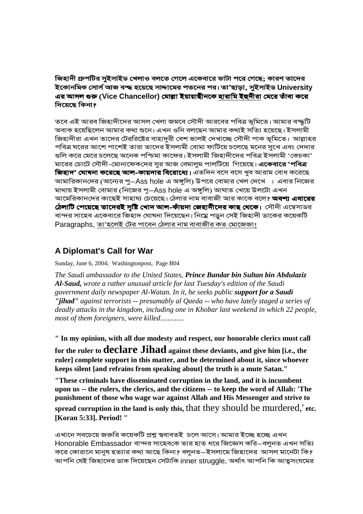জিহাদী গ্রুপটির সুইসাইড খেলাও বলতে গেলে একেবারে ভাটা পরে গেছে; কারণ তাদের ইকোনমিক সোর্স আজ বম্দ্ধ হয়েছে সাদ্দামের পতনের পর। তা'ছাড়া, সুইসাইড University এর আসল গুরু (Vice Chancellor) মোল্লা ইয়ায়াছীনকে <u>হারামি ইহুদীরা</u> মেরে তাঁবা করে দিয়েছে কিনা*গ* 

তবে এই আরব জিহাদীদের আসল খেলা জমবে সৌদী আরবের পবিত্র ভূমিতে। আমার বন্দ্ধটি অবাক হয়েছিলেন আমার কথা শুনে। এখন ওনি বলছেন আমার কথাই সত্যি হয়েছে। ইসলামী জিহাদীরা এখন তাদের টেররিষ্টের বাহাদুরী বেশ ভালই দেখাচ্ছে সৌদী পাক ভূমিতে। আল্লাহর পবিত্র ঘরের আশে পাশেই তারা তাদের ইসলামী বোমা ফাটিয়ে চলেছে মনের সুখে এবং দেদার গুলি করে মেরে চলেছে অনেক পশ্চিমা কাফের। ইসলামী জিহাদীদের পবিত্র ইসলামী 'কেচকা' মারের চোটে সৌদী-মোনাফেকদের সুর আজ বেমালুম পালটিয়ে গিয়েছে। **একেবারে 'পবিত্র** জি**হাদ' ঘোষনা করেছে আল-কায়দার বিরোধ্যে।** এতদিন বসে বসে খুব আরাম বোধ করেছে আমারিকানদের (অন্যের পু $-$ Ass hole এ অঙ্গুলি) উপরে বোমার খেল দেখে । এবার নিজের মাথায় ইসলামী বোমার (নিজের পু–Ass hole এ অঙ্গুলি) আঘাত খেয়ে উলটো এখন আমেরিকানদের কাছেই সাহায্য চেয়েছে। ঠেলার নাম বাবাজী আর কাকে বলে**? অবশ্য এবারের**  $\bm{\dot{\varphi}}$ লাটি পেয়েছে তাদেরই সৃষ্টি খোদ আল-কাঁয়দা জেহাদীদের কাছ থেকে। সৌদী এম্বেসাডর বান্দর সাহেব একেবারে জিহাদ ঘোষনা দিয়েছেন। নিম্নে পড়ুন সেই জিহাদী ডাকের কয়েকটি Paragraphs, <u>তা'হলেই টের পাবেন ঠেলার নাম বাবাজীর কত মোজেজা।</u>

## **A Diplomat's Call for War**

Sunday, June 6, 2004; Washingtonpost, Page B04

*The Saudi ambassador to the United States, Prince Bandar bin Sultan bin Abdulaziz Al-Saud, wrote a rather unusual article for last Tuesday's edition of the Saudi government daily newspaper Al-Watan. In it, he seeks public support for a Saudi "jihad" against terrorists -- presumably al Qaeda -- who have lately staged a series of deadly attacks in the kingdom, including one in Khobar last weekend in which 22 people, most of them foreigners, were killed.............*

**" In my opinion, with all due modesty and respect, our honorable clerics must call for the ruler to declare Jihad against these deviants, and give him [i.e., the ruler] complete support in this matter, and be determined about it, since whoever keeps silent [and refrains from speaking about] the truth is a mute Satan."** 

**"These criminals have disseminated corruption in the land, and it is incumbent upon us -- the rulers, the clerics, and the citizens -- to keep the word of Allah: 'The punishment of those who wage war against Allah and His Messenger and strive to spread corruption in the land is only this,** that they should be murdered,' **etc. [Koran 5:33]. Period! "**

এখানে সবচেয়ে জরুরি কয়েকটি প্রশ্ন স্ববাবতই চলে আসে। আমার ইচ্ছে হচ্ছে এখন Honorable Embassador বান্দর সাহেবকে তার হাত ধরে জিজ্ঞেস করি–বলুনত এখন সত্যি করে কোরানে মানুষ হত্যার কথা আছে কিনা? বলুনত–ইসলামে জিহাদের আসল মানেটা কি? আপনি যেই জিহাদের ডাক দিয়েছেন সেটাকি inner struggle, অর্থাৎ আপনি কি আত্বসংযমের